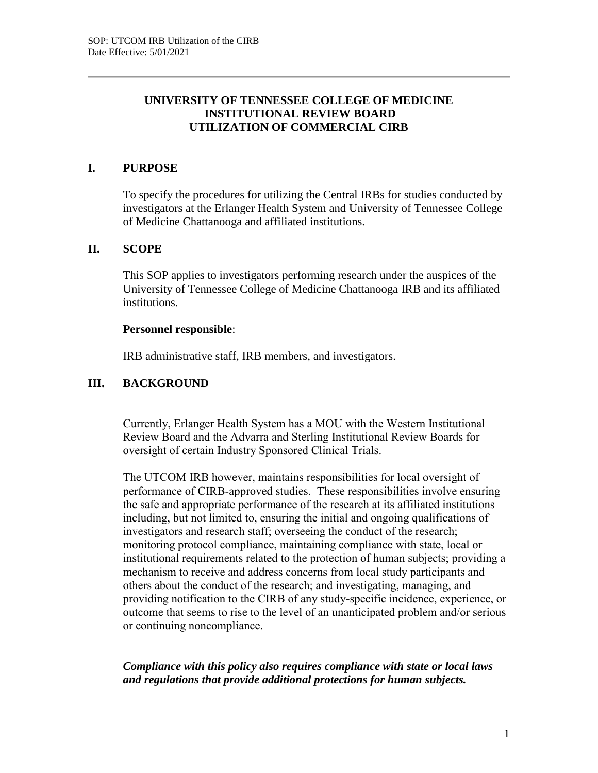## **UNIVERSITY OF TENNESSEE COLLEGE OF MEDICINE INSTITUTIONAL REVIEW BOARD UTILIZATION OF COMMERCIAL CIRB**

## **I. PURPOSE**

To specify the procedures for utilizing the Central IRBs for studies conducted by investigators at the Erlanger Health System and University of Tennessee College of Medicine Chattanooga and affiliated institutions.

### **II. SCOPE**

This SOP applies to investigators performing research under the auspices of the University of Tennessee College of Medicine Chattanooga IRB and its affiliated institutions.

#### **Personnel responsible**:

IRB administrative staff, IRB members, and investigators.

### **III. BACKGROUND**

Currently, Erlanger Health System has a MOU with the Western Institutional Review Board and the Advarra and Sterling Institutional Review Boards for oversight of certain Industry Sponsored Clinical Trials.

The UTCOM IRB however, maintains responsibilities for local oversight of performance of CIRB-approved studies. These responsibilities involve ensuring the safe and appropriate performance of the research at its affiliated institutions including, but not limited to, ensuring the initial and ongoing qualifications of investigators and research staff; overseeing the conduct of the research; monitoring protocol compliance, maintaining compliance with state, local or institutional requirements related to the protection of human subjects; providing a mechanism to receive and address concerns from local study participants and others about the conduct of the research; and investigating, managing, and providing notification to the CIRB of any study-specific incidence, experience, or outcome that seems to rise to the level of an unanticipated problem and/or serious or continuing noncompliance.

## *Compliance with this policy also requires compliance with state or local laws and regulations that provide additional protections for human subjects.*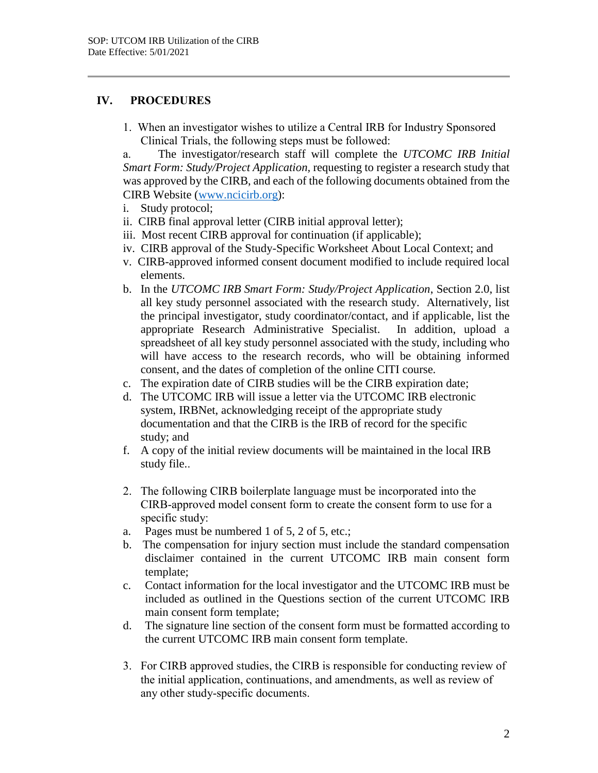# **IV. PROCEDURES**

1. When an investigator wishes to utilize a Central IRB for Industry Sponsored Clinical Trials, the following steps must be followed:

a. The investigator/research staff will complete the *UTCOMC IRB Initial Smart Form: Study/Project Application,* requesting to register a research study that was approved by the CIRB, and each of the following documents obtained from the CIRB Website [\(www.ncicirb.org\)](http://www.ncicirb.org/):

- i. Study protocol;
- ii. CIRB final approval letter (CIRB initial approval letter);
- iii. Most recent CIRB approval for continuation (if applicable);
- iv. CIRB approval of the Study-Specific Worksheet About Local Context; and
- v. CIRB-approved informed consent document modified to include required local elements.
- b. In the *UTCOMC IRB Smart Form: Study/Project Application*, Section 2.0, list all key study personnel associated with the research study. Alternatively, list the principal investigator, study coordinator/contact, and if applicable, list the appropriate Research Administrative Specialist. In addition, upload a spreadsheet of all key study personnel associated with the study, including who will have access to the research records, who will be obtaining informed consent, and the dates of completion of the online CITI course.
- c. The expiration date of CIRB studies will be the CIRB expiration date;
- d. The UTCOMC IRB will issue a letter via the UTCOMC IRB electronic system, IRBNet, acknowledging receipt of the appropriate study documentation and that the CIRB is the IRB of record for the specific study; and
- f. A copy of the initial review documents will be maintained in the local IRB study file..
- 2. The following CIRB boilerplate language must be incorporated into the CIRB-approved model consent form to create the consent form to use for a specific study:
- a. Pages must be numbered 1 of 5, 2 of 5, etc.;
- b. The compensation for injury section must include the standard compensation disclaimer contained in the current UTCOMC IRB main consent form template;
- c. Contact information for the local investigator and the UTCOMC IRB must be included as outlined in the Questions section of the current UTCOMC IRB main consent form template;
- d. The signature line section of the consent form must be formatted according to the current UTCOMC IRB main consent form template.
- 3. For CIRB approved studies, the CIRB is responsible for conducting review of the initial application, continuations, and amendments, as well as review of any other study-specific documents.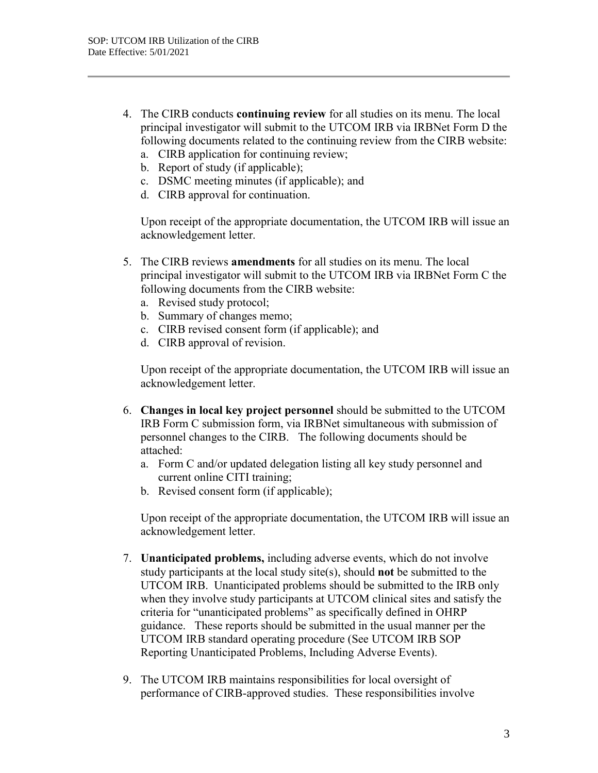- 4. The CIRB conducts **continuing review** for all studies on its menu. The local principal investigator will submit to the UTCOM IRB via IRBNet Form D the following documents related to the continuing review from the CIRB website:
	- a. CIRB application for continuing review;
	- b. Report of study (if applicable);
	- c. DSMC meeting minutes (if applicable); and
	- d. CIRB approval for continuation.

Upon receipt of the appropriate documentation, the UTCOM IRB will issue an acknowledgement letter.

- 5. The CIRB reviews **amendments** for all studies on its menu. The local principal investigator will submit to the UTCOM IRB via IRBNet Form C the following documents from the CIRB website:
	- a. Revised study protocol;
	- b. Summary of changes memo;
	- c. CIRB revised consent form (if applicable); and
	- d. CIRB approval of revision.

Upon receipt of the appropriate documentation, the UTCOM IRB will issue an acknowledgement letter.

- 6. **Changes in local key project personnel** should be submitted to the UTCOM IRB Form C submission form, via IRBNet simultaneous with submission of personnel changes to the CIRB. The following documents should be attached:
	- a. Form C and/or updated delegation listing all key study personnel and current online CITI training;
	- b. Revised consent form (if applicable);

Upon receipt of the appropriate documentation, the UTCOM IRB will issue an acknowledgement letter.

- 7. **Unanticipated problems,** including adverse events, which do not involve study participants at the local study site(s), should **not** be submitted to the UTCOM IRB. Unanticipated problems should be submitted to the IRB only when they involve study participants at UTCOM clinical sites and satisfy the criteria for "unanticipated problems" as specifically defined in OHRP guidance. These reports should be submitted in the usual manner per the UTCOM IRB standard operating procedure (See UTCOM IRB SOP Reporting Unanticipated Problems, Including Adverse Events).
- 9. The UTCOM IRB maintains responsibilities for local oversight of performance of CIRB-approved studies. These responsibilities involve